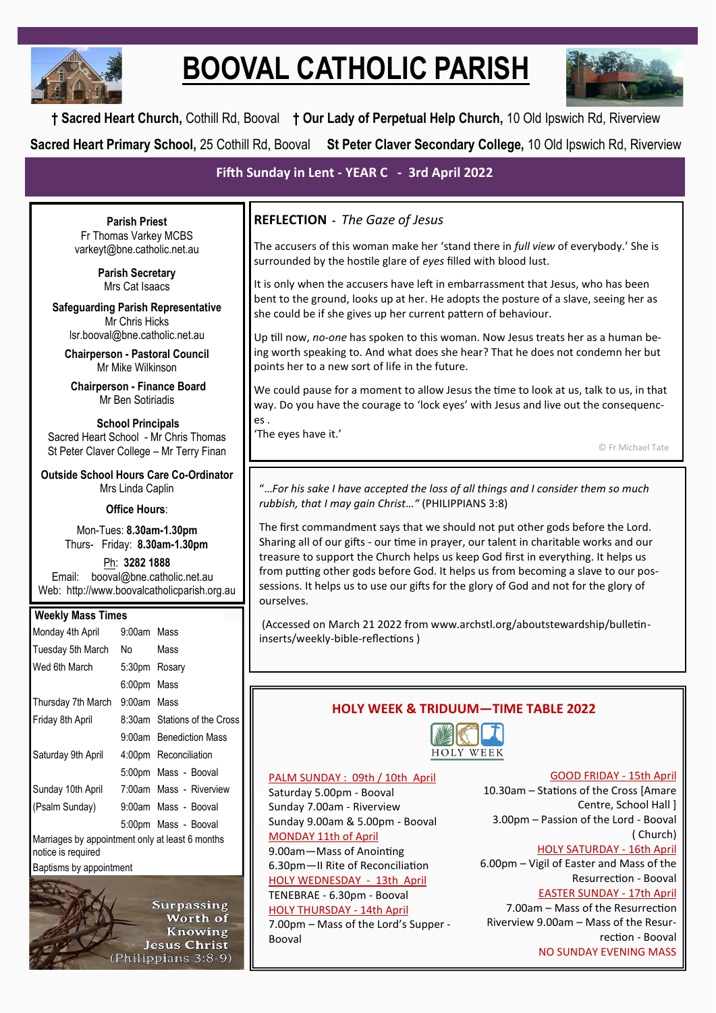

# **BOOVAL CATHOLIC PARISH**



**† Sacred Heart Church,** Cothill Rd, Booval **† Our Lady of Perpetual Help Church,** 10 Old Ipswich Rd, Riverview **Sacred Heart Primary School,** 25 Cothill Rd, Booval **St Peter Claver Secondary College,** 10 Old Ipswich Rd, Riverview

# **Fifth Sunday in Lent - YEAR C - 3rd April 2022**

**Parish Priest** Fr Thomas Varkey MCBS varkeyt@bne.catholic.net.au

> **Parish Secretary** Mrs Cat Isaacs

**Safeguarding Parish Representative** Mr Chris Hicks [lsr.booval@bne.catholic.net.au](mailto:lsr.booval@bne.catholi.net.au)

**Chairperson - Pastoral Council** Mr Mike Wilkinson

**Chairperson - Finance Board** Mr Ben Sotiriadis

**School Principals** Sacred Heart School - Mr Chris Thomas St Peter Claver College – Mr Terry Finan

**Outside School Hours Care Co-Ordinator** Mrs Linda Caplin

#### **Office Hours**:

Mon-Tues: **8.30am-1.30pm** Thurs- Friday: **8.30am-1.30pm**

Ph: **3282 1888**  Email: booval@bne.catholic.net.au Web: http://www.boovalcatholicparish.org.au

#### **Weekly Mass Times**

| Monday 4th April                                                      | 9:00am Mass   |                              |  |  |
|-----------------------------------------------------------------------|---------------|------------------------------|--|--|
| Tuesday 5th March                                                     | No.           | Mass                         |  |  |
| Wed 6th March                                                         | 5:30pm Rosary |                              |  |  |
|                                                                       | 6:00pm Mass   |                              |  |  |
| Thursday 7th March                                                    | 9:00am Mass   |                              |  |  |
| Friday 8th April                                                      |               | 8:30am Stations of the Cross |  |  |
|                                                                       |               | 9:00am Benediction Mass      |  |  |
| Saturday 9th April                                                    |               | 4:00pm Reconciliation        |  |  |
|                                                                       |               | 5:00pm Mass - Booval         |  |  |
| Sunday 10th April                                                     |               | 7:00am Mass - Riverview      |  |  |
| (Psalm Sunday)                                                        |               | 9:00am Mass - Booval         |  |  |
|                                                                       |               | 5:00pm Mass - Booval         |  |  |
| Marriages by appointment only at least 6 months<br>notice is required |               |                              |  |  |

Baptisms by appointment



# **REFLECTION -** *The Gaze of Jesus*

The accusers of this woman make her 'stand there in *full view* of everybody.' She is surrounded by the hostile glare of *eyes* filled with blood lust.

It is only when the accusers have left in embarrassment that Jesus, who has been bent to the ground, looks up at her. He adopts the posture of a slave, seeing her as she could be if she gives up her current pattern of behaviour.

Up till now, *no-one* has spoken to this woman. Now Jesus treats her as a human being worth speaking to. And what does she hear? That he does not condemn her but points her to a new sort of life in the future.

We could pause for a moment to allow Jesus the time to look at us, talk to us, in that way. Do you have the courage to 'lock eyes' with Jesus and live out the consequences .

'The eyes have it.'

© Fr Michael Tate

"…*For his sake I have accepted the loss of all things and I consider them so much rubbish, that I may gain Christ…"* (PHILIPPIANS 3:8)

The first commandment says that we should not put other gods before the Lord. Sharing all of our gifts - our time in prayer, our talent in charitable works and our treasure to support the Church helps us keep God first in everything. It helps us from putting other gods before God. It helps us from becoming a slave to our possessions. It helps us to use our gifts for the glory of God and not for the glory of ourselves.

(Accessed on March 21 2022 from www.archstl.org/aboutstewardship/bulletininserts/weekly-bible-reflections )

# **HOLY WEEK & TRIDUUM—TIME TABLE 2022**



## PALM SUNDAY : 09th / 10th April

Saturday 5.00pm - Booval Sunday 7.00am - Riverview Sunday 9.00am & 5.00pm - Booval MONDAY 11th of April 9.00am—Mass of Anointing 6.30pm—II Rite of Reconciliation HOLY WEDNESDAY - 13th April TENEBRAE - 6.30pm - Booval HOLY THURSDAY - 14th April

7.00pm – Mass of the Lord's Supper - Booval

GOOD FRIDAY - 15th April

10.30am – Stations of the Cross [Amare Centre, School Hall ] 3.00pm – Passion of the Lord - Booval ( Church)

HOLY SATURDAY - 16th April

6.00pm – Vigil of Easter and Mass of the Resurrection - Booval

### EASTER SUNDAY - 17th April

7.00am – Mass of the Resurrection Riverview 9.00am – Mass of the Resurrection - Booval NO SUNDAY EVENING MASS